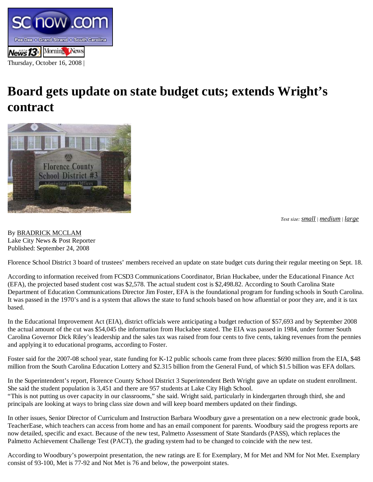

## **Board gets update on state budget cuts; extends Wright's contract**



*Text size: small | medium | large*

By BRADRICK MCCLAM Lake City News & Post Reporter Published: September 24, 2008

Florence School District 3 board of trustees' members received an update on state budget cuts during their regular meeting on Sept. 18.

According to information received from FCSD3 Communications Coordinator, Brian Huckabee, under the Educational Finance Act (EFA), the projected based student cost was \$2,578. The actual student cost is \$2,498.82. According to South Carolina State Department of Education Communications Director Jim Foster, EFA is the foundational program for funding schools in South Carolina. It was passed in the 1970's and is a system that allows the state to fund schools based on how afluential or poor they are, and it is tax based.

In the Educational Improvement Act (EIA), district officials were anticipating a budget reduction of \$57,693 and by September 2008 the actual amount of the cut was \$54,045 the information from Huckabee stated. The EIA was passed in 1984, under former South Carolina Governor Dick Riley's leadership and the sales tax was raised from four cents to five cents, taking revenues from the pennies and applying it to educational programs, according to Foster.

Foster said for the 2007-08 school year, state funding for K-12 public schools came from three places: \$690 million from the EIA, \$48 million from the South Carolina Education Lottery and \$2.315 billion from the General Fund, of which \$1.5 billion was EFA dollars.

In the Superintendent's report, Florence County School District 3 Superintendent Beth Wright gave an update on student enrollment. She said the student population is 3,451 and there are 957 students at Lake City High School. "This is not putting us over capacity in our classrooms," she said. Wright said, particularly in kindergarten through third, she and principals are looking at ways to bring class size down and will keep board members updated on their findings.

In other issues, Senior Director of Curriculum and Instruction Barbara Woodbury gave a presentation on a new electronic grade book, TeacherEase, which teachers can access from home and has an email component for parents. Woodbury said the progress reports are now detailed, specific and exact. Because of the new test, Palmetto Assessment of State Standards (PASS), which replaces the Palmetto Achievement Challenge Test (PACT), the grading system had to be changed to coincide with the new test.

According to Woodbury's powerpoint presentation, the new ratings are E for Exemplary, M for Met and NM for Not Met. Exemplary consist of 93-100, Met is 77-92 and Not Met is 76 and below, the powerpoint states.